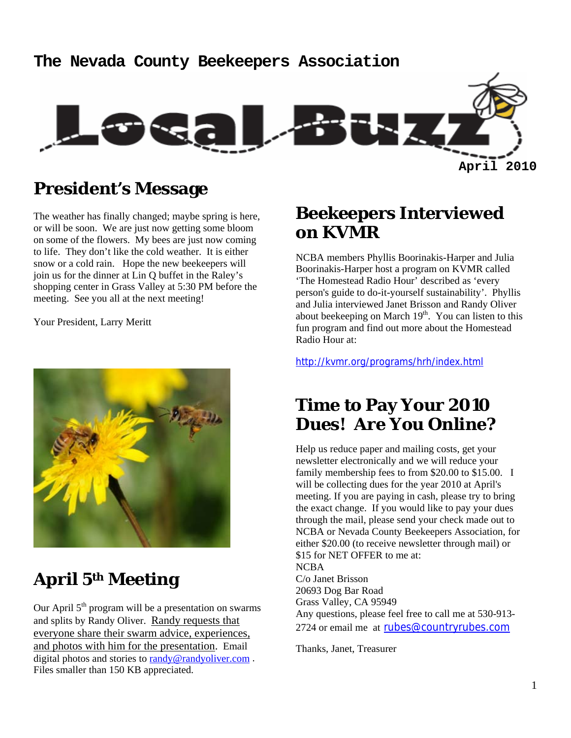# **The Nevada County Beekeepers Association April 2010**

#### **President's Message**

The weather has finally changed; maybe spring is here, or will be soon. We are just now getting some bloom on some of the flowers. My bees are just now coming to life. They don't like the cold weather. It is either snow or a cold rain. Hope the new beekeepers will join us for the dinner at Lin Q buffet in the Raley's shopping center in Grass Valley at 5:30 PM before the meeting. See you all at the next meeting!

Your President, Larry Meritt



# **April 5th Meeting**

Our April  $5<sup>th</sup>$  program will be a presentation on swarms and splits by Randy Oliver. Randy requests that everyone share their swarm advice, experiences, and photos with him for the presentation. Email digital photos and stories to randy@randyoliver.com. Files smaller than 150 KB appreciated.

## **Beekeepers Interviewed on KVMR**

NCBA members Phyllis Boorinakis-Harper and Julia Boorinakis-Harper host a program on KVMR called 'The Homestead Radio Hour' described as 'every person's guide to do-it-yourself sustainability'. Phyllis and Julia interviewed Janet Brisson and Randy Oliver about beekeeping on March  $19<sup>th</sup>$ . You can listen to this fun program and find out more about the Homestead Radio Hour at:

http://kvmr.org/programs/hrh/index.html

## **Time to Pay Your 2010 Dues! Are You Online?**

Help us reduce paper and mailing costs, get your newsletter electronically and we will reduce your family membership fees to from \$20.00 to \$15.00. I will be collecting dues for the year 2010 at April's meeting. If you are paying in cash, please try to bring the exact change. If you would like to pay your dues through the mail, please send your check made out to NCBA or Nevada County Beekeepers Association, for either \$20.00 (to receive newsletter through mail) or \$15 for NET OFFER to me at: NCBA C/o Janet Brisson 20693 Dog Bar Road Grass Valley, CA 95949 Any questions, please feel free to call me at 530-913- 2724 or email me at rubes@countryrubes.com

Thanks, Janet, Treasurer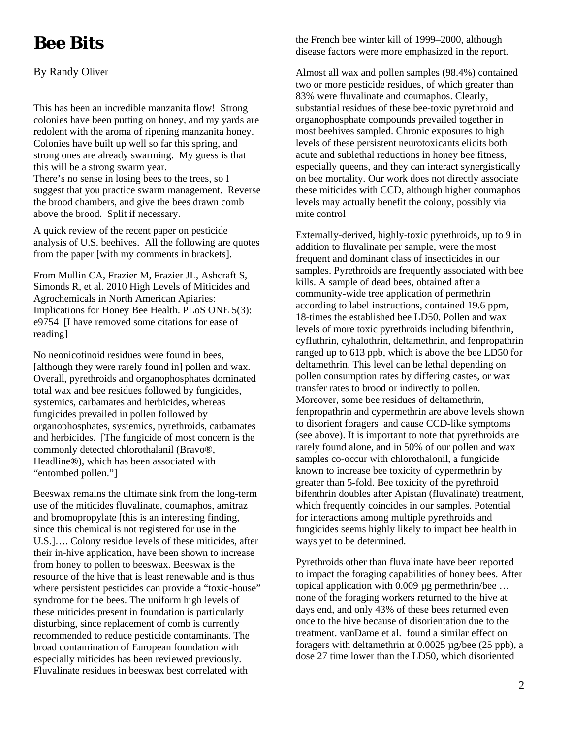## **Bee Bits**

#### By Randy Oliver

This has been an incredible manzanita flow! Strong colonies have been putting on honey, and my yards are redolent with the aroma of ripening manzanita honey. Colonies have built up well so far this spring, and strong ones are already swarming. My guess is that this will be a strong swarm year. There's no sense in losing bees to the trees, so I suggest that you practice swarm management. Reverse the brood chambers, and give the bees drawn comb above the brood. Split if necessary.

A quick review of the recent paper on pesticide analysis of U.S. beehives. All the following are quotes from the paper [with my comments in brackets].

From Mullin CA, Frazier M, Frazier JL, Ashcraft S, Simonds R, et al. 2010 High Levels of Miticides and Agrochemicals in North American Apiaries: Implications for Honey Bee Health. PLoS ONE 5(3): e9754 [I have removed some citations for ease of reading]

No neonicotinoid residues were found in bees, [although they were rarely found in] pollen and wax. Overall, pyrethroids and organophosphates dominated total wax and bee residues followed by fungicides, systemics, carbamates and herbicides, whereas fungicides prevailed in pollen followed by organophosphates, systemics, pyrethroids, carbamates and herbicides. [The fungicide of most concern is the commonly detected chlorothalanil (Bravo®, Headline®), which has been associated with "entombed pollen."]

Beeswax remains the ultimate sink from the long-term use of the miticides fluvalinate, coumaphos, amitraz and bromopropylate [this is an interesting finding, since this chemical is not registered for use in the U.S.]…. Colony residue levels of these miticides, after their in-hive application, have been shown to increase from honey to pollen to beeswax. Beeswax is the resource of the hive that is least renewable and is thus where persistent pesticides can provide a "toxic-house" syndrome for the bees. The uniform high levels of these miticides present in foundation is particularly disturbing, since replacement of comb is currently recommended to reduce pesticide contaminants. The broad contamination of European foundation with especially miticides has been reviewed previously. Fluvalinate residues in beeswax best correlated with

the French bee winter kill of 1999–2000, although disease factors were more emphasized in the report.

Almost all wax and pollen samples (98.4%) contained two or more pesticide residues, of which greater than 83% were fluvalinate and coumaphos. Clearly, substantial residues of these bee-toxic pyrethroid and organophosphate compounds prevailed together in most beehives sampled. Chronic exposures to high levels of these persistent neurotoxicants elicits both acute and sublethal reductions in honey bee fitness, especially queens, and they can interact synergistically on bee mortality. Our work does not directly associate these miticides with CCD, although higher coumaphos levels may actually benefit the colony, possibly via mite control

Externally-derived, highly-toxic pyrethroids, up to 9 in addition to fluvalinate per sample, were the most frequent and dominant class of insecticides in our samples. Pyrethroids are frequently associated with bee kills. A sample of dead bees, obtained after a community-wide tree application of permethrin according to label instructions, contained 19.6 ppm, 18-times the established bee LD50. Pollen and wax levels of more toxic pyrethroids including bifenthrin, cyfluthrin, cyhalothrin, deltamethrin, and fenpropathrin ranged up to 613 ppb, which is above the bee LD50 for deltamethrin. This level can be lethal depending on pollen consumption rates by differing castes, or wax transfer rates to brood or indirectly to pollen. Moreover, some bee residues of deltamethrin, fenpropathrin and cypermethrin are above levels shown to disorient foragers and cause CCD-like symptoms (see above). It is important to note that pyrethroids are rarely found alone, and in 50% of our pollen and wax samples co-occur with chlorothalonil, a fungicide known to increase bee toxicity of cypermethrin by greater than 5-fold. Bee toxicity of the pyrethroid bifenthrin doubles after Apistan (fluvalinate) treatment, which frequently coincides in our samples. Potential for interactions among multiple pyrethroids and fungicides seems highly likely to impact bee health in ways yet to be determined.

Pyrethroids other than fluvalinate have been reported to impact the foraging capabilities of honey bees. After topical application with 0.009 µg permethrin/bee … none of the foraging workers returned to the hive at days end, and only 43% of these bees returned even once to the hive because of disorientation due to the treatment. vanDame et al. found a similar effect on foragers with deltamethrin at 0.0025 µg/bee (25 ppb), a dose 27 time lower than the LD50, which disoriented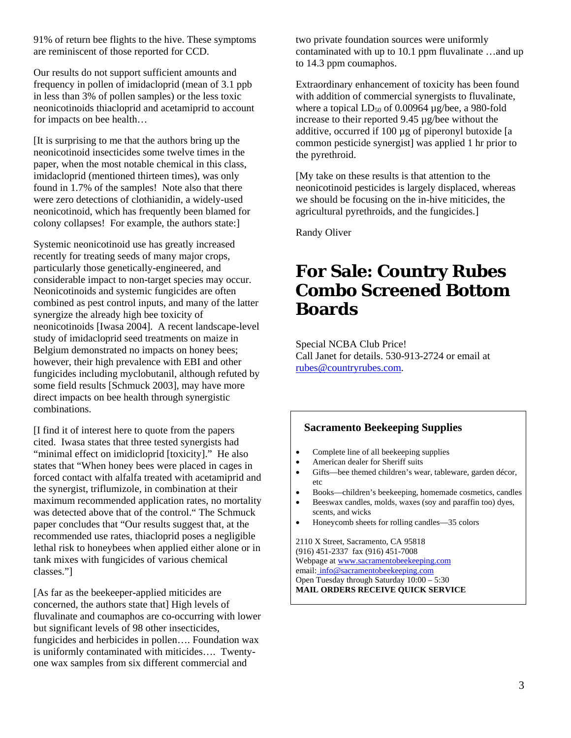91% of return bee flights to the hive. These symptoms are reminiscent of those reported for CCD.

Our results do not support sufficient amounts and frequency in pollen of imidacloprid (mean of 3.1 ppb in less than 3% of pollen samples) or the less toxic neonicotinoids thiacloprid and acetamiprid to account for impacts on bee health…

[It is surprising to me that the authors bring up the neonicotinoid insecticides some twelve times in the paper, when the most notable chemical in this class, imidacloprid (mentioned thirteen times), was only found in 1.7% of the samples! Note also that there were zero detections of clothianidin, a widely-used neonicotinoid, which has frequently been blamed for colony collapses! For example, the authors state:]

Systemic neonicotinoid use has greatly increased recently for treating seeds of many major crops, particularly those genetically-engineered, and considerable impact to non-target species may occur. Neonicotinoids and systemic fungicides are often combined as pest control inputs, and many of the latter synergize the already high bee toxicity of neonicotinoids [Iwasa 2004]. A recent landscape-level study of imidacloprid seed treatments on maize in Belgium demonstrated no impacts on honey bees; however, their high prevalence with EBI and other fungicides including myclobutanil, although refuted by some field results [Schmuck 2003], may have more direct impacts on bee health through synergistic combinations.

[I find it of interest here to quote from the papers cited. Iwasa states that three tested synergists had "minimal effect on imidicloprid [toxicity]." He also states that "When honey bees were placed in cages in forced contact with alfalfa treated with acetamiprid and the synergist, triflumizole, in combination at their maximum recommended application rates, no mortality was detected above that of the control." The Schmuck paper concludes that "Our results suggest that, at the recommended use rates, thiacloprid poses a negligible lethal risk to honeybees when applied either alone or in tank mixes with fungicides of various chemical classes."]

[As far as the beekeeper-applied miticides are concerned, the authors state that] High levels of fluvalinate and coumaphos are co-occurring with lower but significant levels of 98 other insecticides, fungicides and herbicides in pollen…. Foundation wax is uniformly contaminated with miticides…. Twentyone wax samples from six different commercial and

two private foundation sources were uniformly contaminated with up to 10.1 ppm fluvalinate …and up to 14.3 ppm coumaphos.

Extraordinary enhancement of toxicity has been found with addition of commercial synergists to fluvalinate, where a topical  $LD_{50}$  of 0.00964  $\mu$ g/bee, a 980-fold increase to their reported 9.45 µg/bee without the additive, occurred if 100 µg of piperonyl butoxide [a common pesticide synergist] was applied 1 hr prior to the pyrethroid.

[My take on these results is that attention to the neonicotinoid pesticides is largely displaced, whereas we should be focusing on the in-hive miticides, the agricultural pyrethroids, and the fungicides.]

Randy Oliver

#### **For Sale: Country Rubes Combo Screened Bottom Boards**

Special NCBA Club Price! Call Janet for details. 530-913-2724 or email at rubes@countryrubes.com.

#### **Sacramento Beekeeping Supplies**

- Complete line of all beekeeping supplies
- American dealer for Sheriff suits
- Gifts—bee themed children's wear, tableware, garden décor, etc
- Books—children's beekeeping, homemade cosmetics, candles
- Beeswax candles, molds, waxes (soy and paraffin too) dyes, scents, and wicks
- Honeycomb sheets for rolling candles—35 colors

2110 X Street, Sacramento, CA 95818 (916) 451-2337 fax (916) 451-7008 Webpage at www.sacramentobeekeeping.com email: info@sacramentobeekeeping.com

Open Tuesday through Saturday 10:00 – 5:30 **MAIL ORDERS RECEIVE QUICK SERVICE**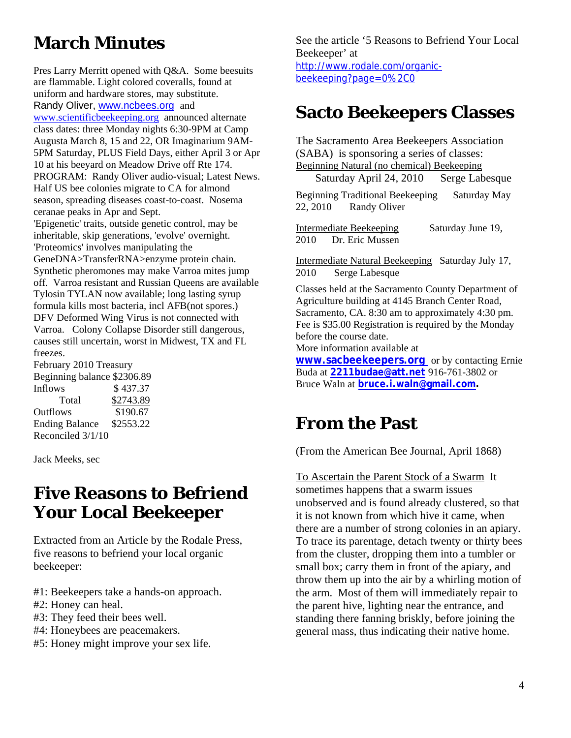# **March Minutes**

Pres Larry Merritt opened with Q&A. Some beesuits are flammable. Light colored coveralls, found at uniform and hardware stores, may substitute. Randy Oliver, www.ncbees.org and www.scientificbeekeeping.org announced alternate class dates: three Monday nights 6:30-9PM at Camp Augusta March 8, 15 and 22, OR Imaginarium 9AM-5PM Saturday, PLUS Field Days, either April 3 or Apr 10 at his beeyard on Meadow Drive off Rte 174. PROGRAM: Randy Oliver audio-visual; Latest News. Half US bee colonies migrate to CA for almond season, spreading diseases coast-to-coast. Nosema ceranae peaks in Apr and Sept. 'Epigenetic' traits, outside genetic control, may be inheritable, skip generations, 'evolve' overnight. 'Proteomics' involves manipulating the GeneDNA>TransferRNA>enzyme protein chain. Synthetic pheromones may make Varroa mites jump off. Varroa resistant and Russian Queens are available Tylosin TYLAN now available; long lasting syrup formula kills most bacteria, incl AFB(not spores.) DFV Deformed Wing Virus is not connected with Varroa. Colony Collapse Disorder still dangerous, causes still uncertain, worst in Midwest, TX and FL freezes.

February 2010 Treasury Beginning balance \$2306.89 Inflows \$ 437.37 Total \$2743.89 Outflows \$190.67 Ending Balance \$2553.22 Reconciled 3/1/10

Jack Meeks, sec

#### **Five Reasons to Befriend Your Local Beekeeper**

Extracted from an Article by the Rodale Press, five reasons to befriend your local organic beekeeper:

- #1: Beekeepers take a hands-on approach.
- #2: Honey can heal.
- #3: They feed their bees well.
- #4: Honeybees are peacemakers.
- #5: Honey might improve your sex life.

See the article '5 Reasons to Befriend Your Local Beekeeper' at http://www.rodale.com/organicbeekeeping?page=0%2C0

## **Sacto Beekeepers Classes**

The Sacramento Area Beekeepers Association (SABA) is sponsoring a series of classes: Beginning Natural (no chemical) Beekeeping Saturday April 24, 2010 Serge Labesque Beginning Traditional Beekeeping Saturday May 22, 2010 Randy Oliver Intermediate Beekeeping Saturday June 19, 2010 Dr. Eric Mussen Intermediate Natural Beekeeping Saturday July 17, 2010 Serge Labesque Classes held at the Sacramento County Department of Agriculture building at 4145 Branch Center Road, Sacramento, CA. 8:30 am to approximately 4:30 pm. Fee is \$35.00 Registration is required by the Monday before the course date. More information available at **www.sacbeekeepers.org** or by contacting Ernie

Buda at **2211budae@att.net** 916-761-3802 or Bruce Waln at **bruce.i.waln@gmail.com.** 

## **From the Past**

(From the American Bee Journal, April 1868)

To Ascertain the Parent Stock of a Swarm It sometimes happens that a swarm issues unobserved and is found already clustered, so that it is not known from which hive it came, when there are a number of strong colonies in an apiary. To trace its parentage, detach twenty or thirty bees from the cluster, dropping them into a tumbler or small box; carry them in front of the apiary, and throw them up into the air by a whirling motion of the arm. Most of them will immediately repair to the parent hive, lighting near the entrance, and standing there fanning briskly, before joining the general mass, thus indicating their native home.